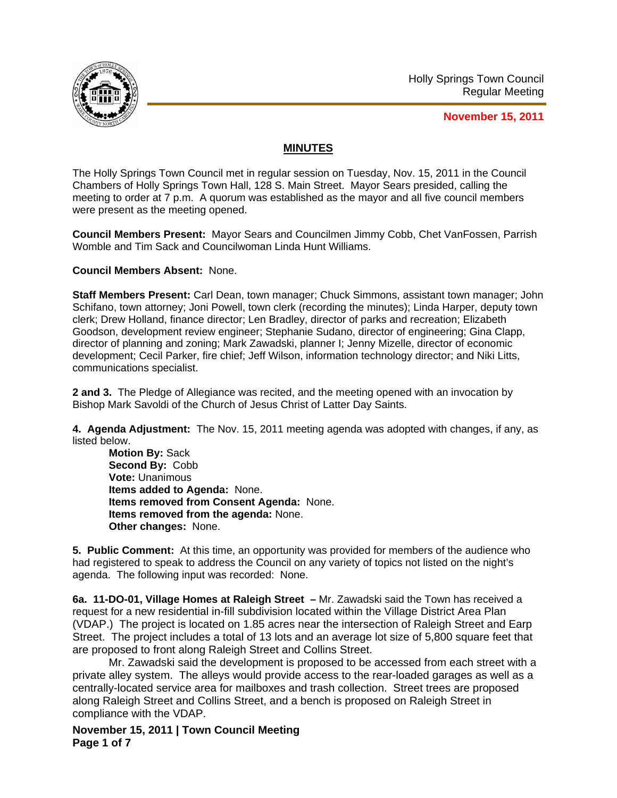

**November 15, 2011**

## **MINUTES**

The Holly Springs Town Council met in regular session on Tuesday, Nov. 15, 2011 in the Council Chambers of Holly Springs Town Hall, 128 S. Main Street. Mayor Sears presided, calling the meeting to order at 7 p.m. A quorum was established as the mayor and all five council members were present as the meeting opened.

**Council Members Present:** Mayor Sears and Councilmen Jimmy Cobb, Chet VanFossen, Parrish Womble and Tim Sack and Councilwoman Linda Hunt Williams.

**Council Members Absent:** None.

**Staff Members Present:** Carl Dean, town manager; Chuck Simmons, assistant town manager; John Schifano, town attorney; Joni Powell, town clerk (recording the minutes); Linda Harper, deputy town clerk; Drew Holland, finance director; Len Bradley, director of parks and recreation; Elizabeth Goodson, development review engineer; Stephanie Sudano, director of engineering; Gina Clapp, director of planning and zoning; Mark Zawadski, planner I; Jenny Mizelle, director of economic development; Cecil Parker, fire chief; Jeff Wilson, information technology director; and Niki Litts, communications specialist.

**2 and 3.** The Pledge of Allegiance was recited, and the meeting opened with an invocation by Bishop Mark Savoldi of the Church of Jesus Christ of Latter Day Saints.

**4. Agenda Adjustment:** The Nov. 15, 2011 meeting agenda was adopted with changes, if any, as listed below.

**Motion By:** Sack **Second By:** Cobb **Vote:** Unanimous **Items added to Agenda:** None. **Items removed from Consent Agenda:** None. **Items removed from the agenda:** None. **Other changes:** None.

**5. Public Comment:** At this time, an opportunity was provided for members of the audience who had registered to speak to address the Council on any variety of topics not listed on the night's agenda. The following input was recorded: None.

**6a. 11-DO-01, Village Homes at Raleigh Street –** Mr. Zawadski said the Town has received a request for a new residential in-fill subdivision located within the Village District Area Plan (VDAP.) The project is located on 1.85 acres near the intersection of Raleigh Street and Earp Street. The project includes a total of 13 lots and an average lot size of 5,800 square feet that are proposed to front along Raleigh Street and Collins Street.

 Mr. Zawadski said the development is proposed to be accessed from each street with a private alley system. The alleys would provide access to the rear-loaded garages as well as a centrally-located service area for mailboxes and trash collection. Street trees are proposed along Raleigh Street and Collins Street, and a bench is proposed on Raleigh Street in compliance with the VDAP.

**November 15, 2011 | Town Council Meeting Page 1 of 7**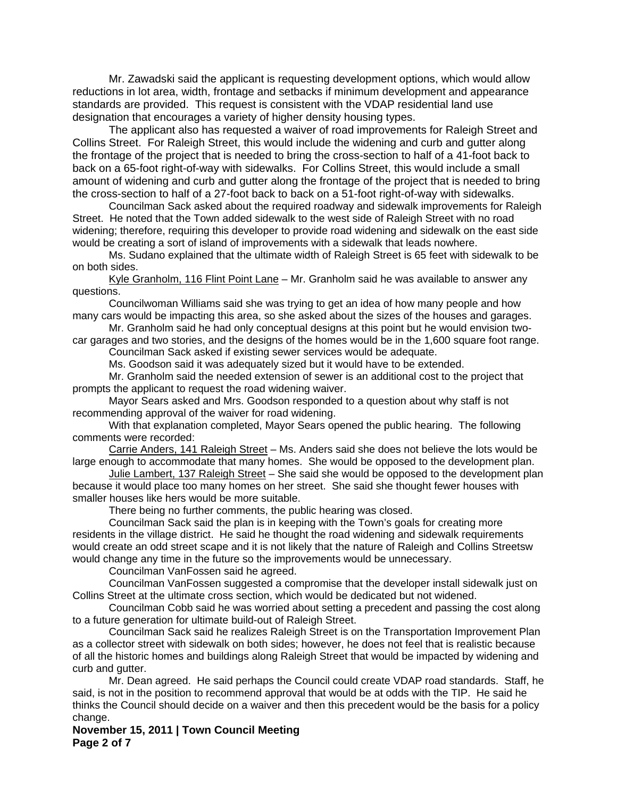Mr. Zawadski said the applicant is requesting development options, which would allow reductions in lot area, width, frontage and setbacks if minimum development and appearance standards are provided. This request is consistent with the VDAP residential land use designation that encourages a variety of higher density housing types.

 The applicant also has requested a waiver of road improvements for Raleigh Street and Collins Street. For Raleigh Street, this would include the widening and curb and gutter along the frontage of the project that is needed to bring the cross-section to half of a 41-foot back to back on a 65-foot right-of-way with sidewalks. For Collins Street, this would include a small amount of widening and curb and gutter along the frontage of the project that is needed to bring the cross-section to half of a 27-foot back to back on a 51-foot right-of-way with sidewalks.

Councilman Sack asked about the required roadway and sidewalk improvements for Raleigh Street. He noted that the Town added sidewalk to the west side of Raleigh Street with no road widening; therefore, requiring this developer to provide road widening and sidewalk on the east side would be creating a sort of island of improvements with a sidewalk that leads nowhere.

Ms. Sudano explained that the ultimate width of Raleigh Street is 65 feet with sidewalk to be on both sides.

Kyle Granholm, 116 Flint Point Lane – Mr. Granholm said he was available to answer any questions.

Councilwoman Williams said she was trying to get an idea of how many people and how many cars would be impacting this area, so she asked about the sizes of the houses and garages.

Mr. Granholm said he had only conceptual designs at this point but he would envision twocar garages and two stories, and the designs of the homes would be in the 1,600 square foot range.

Councilman Sack asked if existing sewer services would be adequate.

Ms. Goodson said it was adequately sized but it would have to be extended.

Mr. Granholm said the needed extension of sewer is an additional cost to the project that prompts the applicant to request the road widening waiver.

Mayor Sears asked and Mrs. Goodson responded to a question about why staff is not recommending approval of the waiver for road widening.

With that explanation completed, Mayor Sears opened the public hearing. The following comments were recorded:

Carrie Anders, 141 Raleigh Street – Ms. Anders said she does not believe the lots would be large enough to accommodate that many homes. She would be opposed to the development plan.

Julie Lambert, 137 Raleigh Street - She said she would be opposed to the development plan because it would place too many homes on her street. She said she thought fewer houses with smaller houses like hers would be more suitable.

There being no further comments, the public hearing was closed.

Councilman Sack said the plan is in keeping with the Town's goals for creating more residents in the village district. He said he thought the road widening and sidewalk requirements would create an odd street scape and it is not likely that the nature of Raleigh and Collins Streetsw would change any time in the future so the improvements would be unnecessary.

Councilman VanFossen said he agreed.

Councilman VanFossen suggested a compromise that the developer install sidewalk just on Collins Street at the ultimate cross section, which would be dedicated but not widened.

Councilman Cobb said he was worried about setting a precedent and passing the cost along to a future generation for ultimate build-out of Raleigh Street.

Councilman Sack said he realizes Raleigh Street is on the Transportation Improvement Plan as a collector street with sidewalk on both sides; however, he does not feel that is realistic because of all the historic homes and buildings along Raleigh Street that would be impacted by widening and curb and gutter.

Mr. Dean agreed. He said perhaps the Council could create VDAP road standards. Staff, he said, is not in the position to recommend approval that would be at odds with the TIP. He said he thinks the Council should decide on a waiver and then this precedent would be the basis for a policy change.

**November 15, 2011 | Town Council Meeting Page 2 of 7**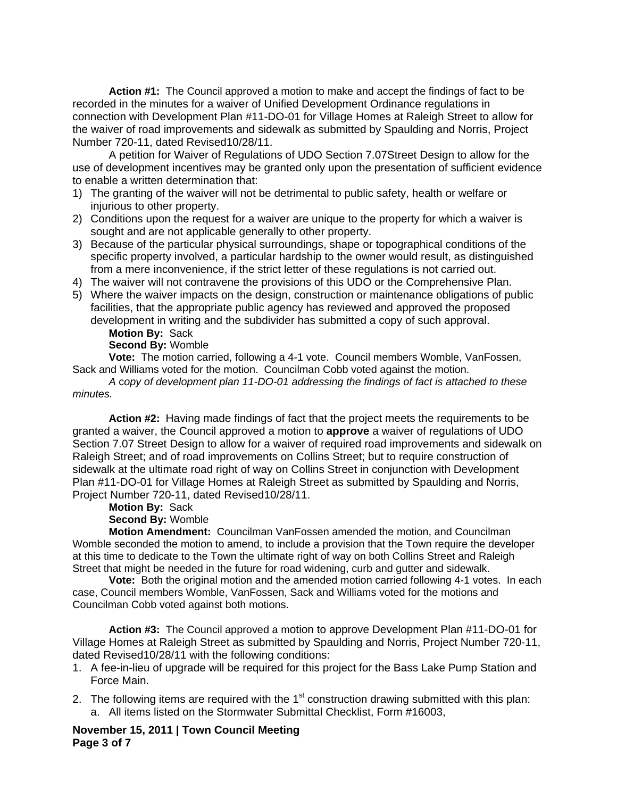**Action #1:** The Council approved a motion to make and accept the findings of fact to be recorded in the minutes for a waiver of Unified Development Ordinance regulations in connection with Development Plan #11-DO-01 for Village Homes at Raleigh Street to allow for the waiver of road improvements and sidewalk as submitted by Spaulding and Norris, Project Number 720-11, dated Revised10/28/11.

A petition for Waiver of Regulations of UDO Section 7.07Street Design to allow for the use of development incentives may be granted only upon the presentation of sufficient evidence to enable a written determination that:

- 1) The granting of the waiver will not be detrimental to public safety, health or welfare or injurious to other property.
- 2) Conditions upon the request for a waiver are unique to the property for which a waiver is sought and are not applicable generally to other property.
- 3) Because of the particular physical surroundings, shape or topographical conditions of the specific property involved, a particular hardship to the owner would result, as distinguished from a mere inconvenience, if the strict letter of these regulations is not carried out.
- 4) The waiver will not contravene the provisions of this UDO or the Comprehensive Plan.
- 5) Where the waiver impacts on the design, construction or maintenance obligations of public facilities, that the appropriate public agency has reviewed and approved the proposed development in writing and the subdivider has submitted a copy of such approval.

**Motion By:** Sack

## **Second By:** Womble

 **Vote:** The motion carried, following a 4-1 vote. Council members Womble, VanFossen, Sack and Williams voted for the motion. Councilman Cobb voted against the motion.

*A* c*opy of development plan 11-DO-01 addressing the findings of fact is attached to these minutes.* 

**Action #2:** Having made findings of fact that the project meets the requirements to be granted a waiver, the Council approved a motion to **approve** a waiver of regulations of UDO Section 7.07 Street Design to allow for a waiver of required road improvements and sidewalk on Raleigh Street; and of road improvements on Collins Street; but to require construction of sidewalk at the ultimate road right of way on Collins Street in conjunction with Development Plan #11-DO-01 for Village Homes at Raleigh Street as submitted by Spaulding and Norris, Project Number 720-11, dated Revised10/28/11.

## **Motion By:** Sack

## **Second By:** Womble

**Motion Amendment:** Councilman VanFossen amended the motion, and Councilman Womble seconded the motion to amend, to include a provision that the Town require the developer at this time to dedicate to the Town the ultimate right of way on both Collins Street and Raleigh Street that might be needed in the future for road widening, curb and gutter and sidewalk.

**Vote:** Both the original motion and the amended motion carried following 4-1 votes. In each case, Council members Womble, VanFossen, Sack and Williams voted for the motions and Councilman Cobb voted against both motions.

**Action #3:** The Council approved a motion to approve Development Plan #11-DO-01 for Village Homes at Raleigh Street as submitted by Spaulding and Norris, Project Number 720-11, dated Revised10/28/11 with the following conditions:

- 1. A fee-in-lieu of upgrade will be required for this project for the Bass Lake Pump Station and Force Main.
- 2. The following items are required with the  $1<sup>st</sup>$  construction drawing submitted with this plan: a. All items listed on the Stormwater Submittal Checklist, Form #16003,

**November 15, 2011 | Town Council Meeting Page 3 of 7**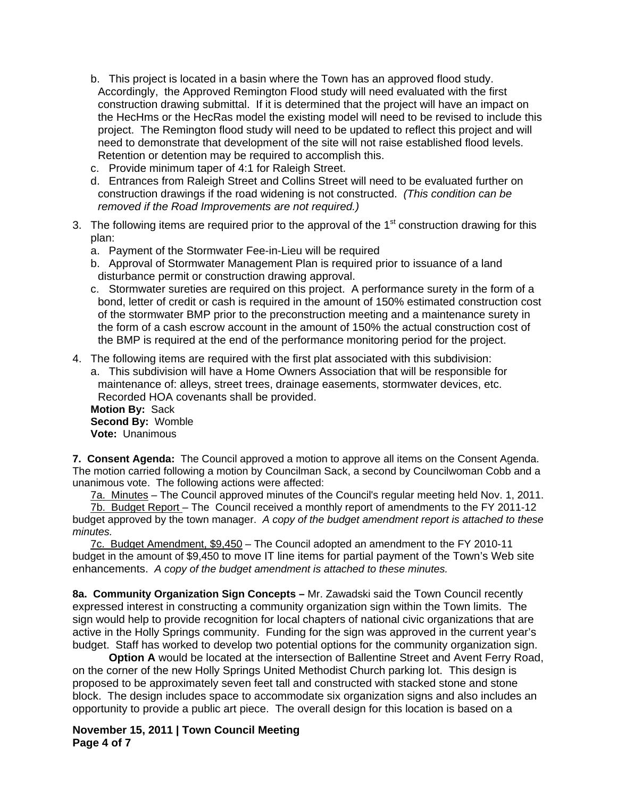- b. This project is located in a basin where the Town has an approved flood study. Accordingly, the Approved Remington Flood study will need evaluated with the first construction drawing submittal. If it is determined that the project will have an impact on the HecHms or the HecRas model the existing model will need to be revised to include this project. The Remington flood study will need to be updated to reflect this project and will need to demonstrate that development of the site will not raise established flood levels. Retention or detention may be required to accomplish this.
- c. Provide minimum taper of 4:1 for Raleigh Street.
- d. Entrances from Raleigh Street and Collins Street will need to be evaluated further on construction drawings if the road widening is not constructed. *(This condition can be removed if the Road Improvements are not required.)*
- 3. The following items are required prior to the approval of the  $1<sup>st</sup>$  construction drawing for this plan:
	- a. Payment of the Stormwater Fee-in-Lieu will be required
	- b. Approval of Stormwater Management Plan is required prior to issuance of a land disturbance permit or construction drawing approval.
	- c. Stormwater sureties are required on this project. A performance surety in the form of a bond, letter of credit or cash is required in the amount of 150% estimated construction cost of the stormwater BMP prior to the preconstruction meeting and a maintenance surety in the form of a cash escrow account in the amount of 150% the actual construction cost of the BMP is required at the end of the performance monitoring period for the project.
- 4. The following items are required with the first plat associated with this subdivision:

a. This subdivision will have a Home Owners Association that will be responsible for maintenance of: alleys, street trees, drainage easements, stormwater devices, etc. Recorded HOA covenants shall be provided.

**Motion By:** Sack **Second By:** Womble **Vote:** Unanimous

**7. Consent Agenda:** The Council approved a motion to approve all items on the Consent Agenda. The motion carried following a motion by Councilman Sack, a second by Councilwoman Cobb and a unanimous vote. The following actions were affected:

7a. Minutes – The Council approved minutes of the Council's regular meeting held Nov. 1, 2011.

7b. Budget Report – The Council received a monthly report of amendments to the FY 2011-12 budget approved by the town manager. *A copy of the budget amendment report is attached to these minutes.*

7c. Budget Amendment, \$9,450 – The Council adopted an amendment to the FY 2010-11 budget in the amount of \$9,450 to move IT line items for partial payment of the Town's Web site enhancements. *A copy of the budget amendment is attached to these minutes.*

**8a. Community Organization Sign Concepts –** Mr. Zawadski said the Town Council recently expressed interest in constructing a community organization sign within the Town limits. The sign would help to provide recognition for local chapters of national civic organizations that are active in the Holly Springs community. Funding for the sign was approved in the current year's budget. Staff has worked to develop two potential options for the community organization sign.

**Option A** would be located at the intersection of Ballentine Street and Avent Ferry Road, on the corner of the new Holly Springs United Methodist Church parking lot. This design is proposed to be approximately seven feet tall and constructed with stacked stone and stone block. The design includes space to accommodate six organization signs and also includes an opportunity to provide a public art piece. The overall design for this location is based on a

**November 15, 2011 | Town Council Meeting Page 4 of 7**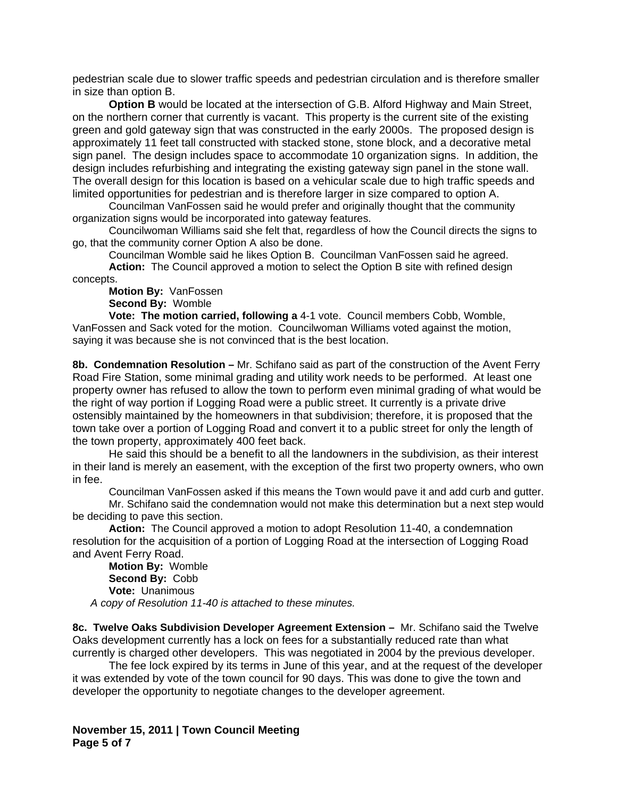pedestrian scale due to slower traffic speeds and pedestrian circulation and is therefore smaller in size than option B.

**Option B** would be located at the intersection of G.B. Alford Highway and Main Street, on the northern corner that currently is vacant. This property is the current site of the existing green and gold gateway sign that was constructed in the early 2000s. The proposed design is approximately 11 feet tall constructed with stacked stone, stone block, and a decorative metal sign panel. The design includes space to accommodate 10 organization signs. In addition, the design includes refurbishing and integrating the existing gateway sign panel in the stone wall. The overall design for this location is based on a vehicular scale due to high traffic speeds and limited opportunities for pedestrian and is therefore larger in size compared to option A.

Councilman VanFossen said he would prefer and originally thought that the community organization signs would be incorporated into gateway features.

Councilwoman Williams said she felt that, regardless of how the Council directs the signs to go, that the community corner Option A also be done.

Councilman Womble said he likes Option B. Councilman VanFossen said he agreed.

**Action:** The Council approved a motion to select the Option B site with refined design concepts.

**Motion By:** VanFossen

 **Second By:** Womble

 **Vote: The motion carried, following a** 4-1 vote. Council members Cobb, Womble, VanFossen and Sack voted for the motion. Councilwoman Williams voted against the motion, saying it was because she is not convinced that is the best location.

**8b. Condemnation Resolution –** Mr. Schifano said as part of the construction of the Avent Ferry Road Fire Station, some minimal grading and utility work needs to be performed. At least one property owner has refused to allow the town to perform even minimal grading of what would be the right of way portion if Logging Road were a public street. It currently is a private drive ostensibly maintained by the homeowners in that subdivision; therefore, it is proposed that the town take over a portion of Logging Road and convert it to a public street for only the length of the town property, approximately 400 feet back.

 He said this should be a benefit to all the landowners in the subdivision, as their interest in their land is merely an easement, with the exception of the first two property owners, who own in fee.

Councilman VanFossen asked if this means the Town would pave it and add curb and gutter.

 Mr. Schifano said the condemnation would not make this determination but a next step would be deciding to pave this section.

**Action:** The Council approved a motion to adopt Resolution 11-40, a condemnation resolution for the acquisition of a portion of Logging Road at the intersection of Logging Road and Avent Ferry Road.

**Motion By:** Womble  **Second By:** Cobb  **Vote:** Unanimous *A copy of Resolution 11-40 is attached to these minutes.* 

**8c. Twelve Oaks Subdivision Developer Agreement Extension –** Mr. Schifano said the Twelve Oaks development currently has a lock on fees for a substantially reduced rate than what currently is charged other developers. This was negotiated in 2004 by the previous developer.

 The fee lock expired by its terms in June of this year, and at the request of the developer it was extended by vote of the town council for 90 days. This was done to give the town and developer the opportunity to negotiate changes to the developer agreement.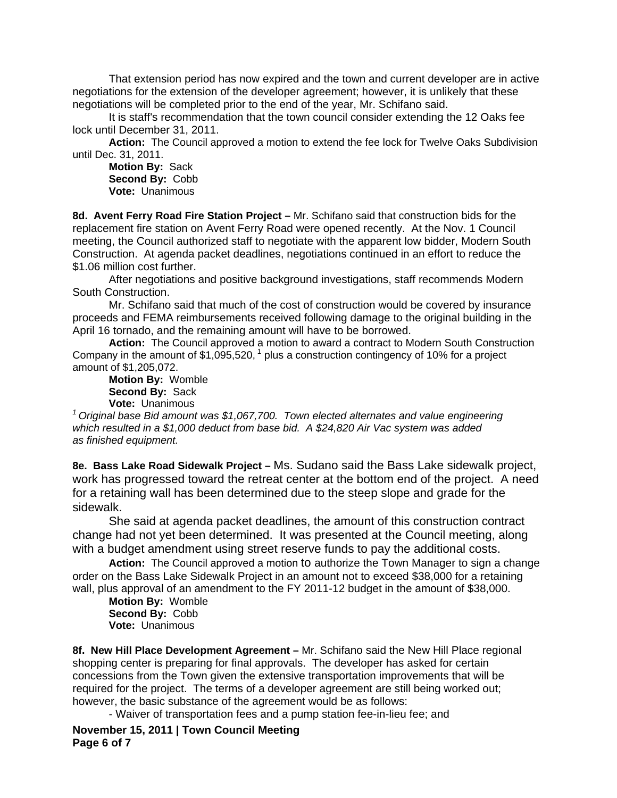That extension period has now expired and the town and current developer are in active negotiations for the extension of the developer agreement; however, it is unlikely that these negotiations will be completed prior to the end of the year, Mr. Schifano said.

 It is staff's recommendation that the town council consider extending the 12 Oaks fee lock until December 31, 2011.

**Action:** The Council approved a motion to extend the fee lock for Twelve Oaks Subdivision until Dec. 31, 2011.

**Motion By:** Sack  **Second By:** Cobb  **Vote:** Unanimous

**8d. Avent Ferry Road Fire Station Project –** Mr. Schifano said that construction bids for the replacement fire station on Avent Ferry Road were opened recently. At the Nov. 1 Council meeting, the Council authorized staff to negotiate with the apparent low bidder, Modern South Construction. At agenda packet deadlines, negotiations continued in an effort to reduce the \$1.06 million cost further.

 After negotiations and positive background investigations, staff recommends Modern South Construction.

Mr. Schifano said that much of the cost of construction would be covered by insurance proceeds and FEMA reimbursements received following damage to the original building in the April 16 tornado, and the remaining amount will have to be borrowed.

**Action:** The Council approved a motion to award a contract to Modern South Construction Company in the amount of  $$1,095,520$ ,  $^1$  plus a construction contingency of 10% for a project amount of \$1,205,072.

**Motion By:** Womble  **Second By:** Sack  **Vote:** Unanimous

*1 Original base Bid amount was \$1,067,700. Town elected alternates and value engineering which resulted in a \$1,000 deduct from base bid. A \$24,820 Air Vac system was added as finished equipment.* 

**8e. Bass Lake Road Sidewalk Project –** Ms. Sudano said the Bass Lake sidewalk project, work has progressed toward the retreat center at the bottom end of the project. A need for a retaining wall has been determined due to the steep slope and grade for the sidewalk.

 She said at agenda packet deadlines, the amount of this construction contract change had not yet been determined. It was presented at the Council meeting, along with a budget amendment using street reserve funds to pay the additional costs.

**Action:** The Council approved a motion to authorize the Town Manager to sign a change order on the Bass Lake Sidewalk Project in an amount not to exceed \$38,000 for a retaining wall, plus approval of an amendment to the FY 2011-12 budget in the amount of \$38,000.

**Motion By:** Womble  **Second By:** Cobb  **Vote:** Unanimous

**8f. New Hill Place Development Agreement –** Mr. Schifano said the New Hill Place regional shopping center is preparing for final approvals. The developer has asked for certain concessions from the Town given the extensive transportation improvements that will be required for the project. The terms of a developer agreement are still being worked out; however, the basic substance of the agreement would be as follows:

- Waiver of transportation fees and a pump station fee-in-lieu fee; and

**November 15, 2011 | Town Council Meeting Page 6 of 7**